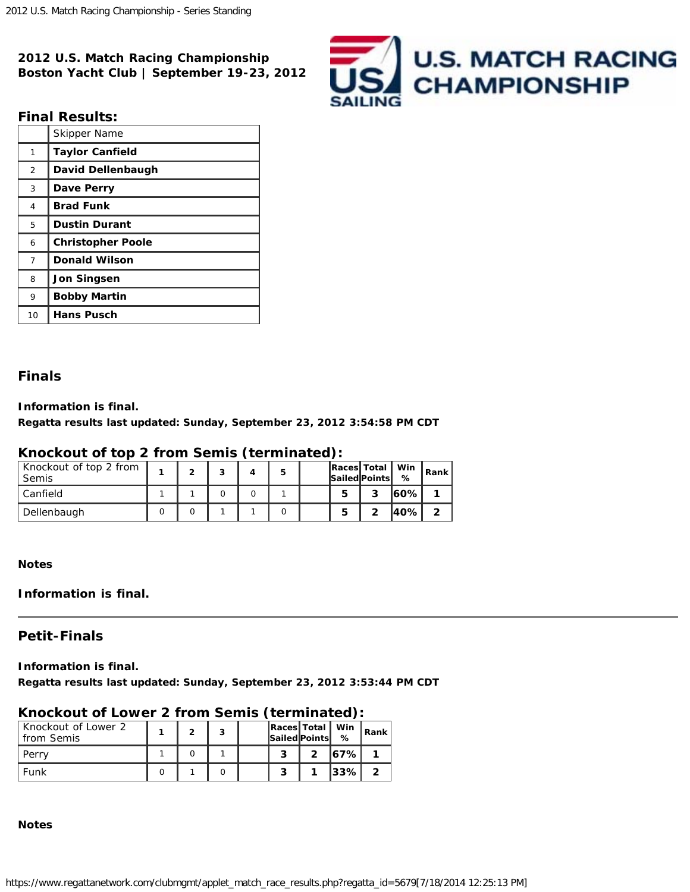**2012 U.S. Match Racing Championship Boston Yacht Club | September 19-23, 2012**



## **Final Results:**

|                | Skipper Name             |
|----------------|--------------------------|
| 1              | <b>Taylor Canfield</b>   |
| 2              | David Dellenbaugh        |
| 3              | Dave Perry               |
| 4              | <b>Brad Funk</b>         |
| 5              | <b>Dustin Durant</b>     |
| 6              | <b>Christopher Poole</b> |
| $\overline{7}$ | <b>Donald Wilson</b>     |
| 8              | <b>Jon Singsen</b>       |
| 9              | <b>Bobby Martin</b>      |
| 10             | <b>Hans Pusch</b>        |

### **Finals**

**Information is final.**

**Regatta results last updated: Sunday, September 23, 2012 3:54:58 PM CDT**

# **Knockout of top 2 from Semis (terminated):**

| Knockout of top 2 from<br><b>Semis</b> |  |  | 5 |   | <b>Races Total</b><br><b>Sailed Points</b> | , Win<br>% | Rank |
|----------------------------------------|--|--|---|---|--------------------------------------------|------------|------|
| Canfield                               |  |  |   | 5 | 2                                          | l60%l      |      |
| Dellenbaugh                            |  |  |   |   |                                            | 40%        |      |

**Notes**

**Information is final.**

# **Petit-Finals**

**Information is final.**

**Regatta results last updated: Sunday, September 23, 2012 3:53:44 PM CDT**

# **Knockout of Lower 2 from Semis (terminated):**

| Knockout of Lower 2<br>from Semis |  |  | Races   Total   Win<br><i>Sailed</i> Points | %        | Rank |
|-----------------------------------|--|--|---------------------------------------------|----------|------|
| Perry                             |  |  |                                             | 167%     |      |
| Funk                              |  |  |                                             | $ 33\% $ |      |

**Notes**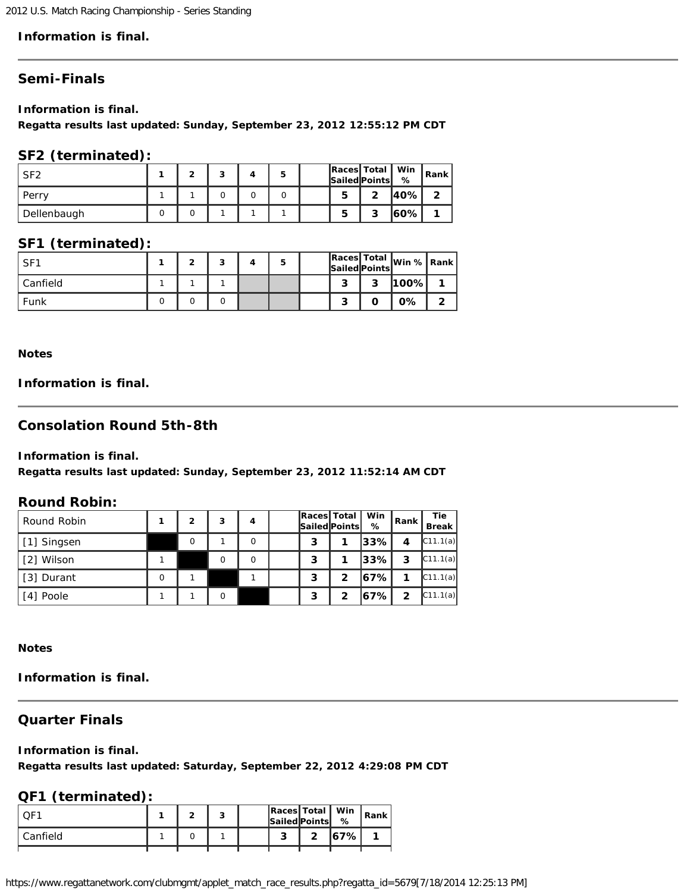2012 U.S. Match Racing Championship - Series Standing

### **Information is final.**

# **Semi-Finals**

**Information is final.**

**Regatta results last updated: Sunday, September 23, 2012 12:55:12 PM CDT**

### **SF2 (terminated):**

| SF <sub>2</sub> |  |  | 5 |   | Races Total   Win   Rank<br>Sailed Points | %     |   |
|-----------------|--|--|---|---|-------------------------------------------|-------|---|
| Perry           |  |  |   | 5 | ົ                                         | 140%I | ົ |
| Dellenbaugh     |  |  |   | 5 | 3                                         | 160%I |   |

# **SF1 (terminated):**

| SF <sub>1</sub> |  | ◠ |  |        | <b>Sailed Points</b> | Races Total  win %   Rank |  |
|-----------------|--|---|--|--------|----------------------|---------------------------|--|
| Canfield        |  |   |  | ິ      | っ                    | 100%                      |  |
| Funk            |  |   |  | ◠<br>o |                      | 0%                        |  |

**Notes**

## **Information is final.**

## **Consolation Round 5th-8th**

**Information is final.**

**Regatta results last updated: Sunday, September 23, 2012 11:52:14 AM CDT**

#### **Round Robin:**

| Round Robin | $\mathfrak{p}$ | 3 | 4 | Races Total<br>Sailed Points |                | Win<br>% | Rank           | <b>Tie</b><br><b>Break</b> |
|-------------|----------------|---|---|------------------------------|----------------|----------|----------------|----------------------------|
| [1] Singsen | $\Omega$       |   | 0 | 3                            |                | l33% l   | 4              | C11.1(a)                   |
| [2] Wilson  |                |   | O | 3                            |                | l33% l   | 3              | C11.1(a)                   |
| [3] Durant  |                |   |   | 3                            | $\overline{2}$ | 67%      |                | C11.1(a)                   |
| [4] Poole   |                | O |   | 3                            | $\mathbf{2}$   | 167% l   | $\overline{2}$ | C11.1(a)                   |

**Notes**

**Information is final.**

# **Quarter Finals**

#### **Information is final.**

**Regatta results last updated: Saturday, September 22, 2012 4:29:08 PM CDT**

# **QF1 (terminated):**

| . TF     |  |  | Races   Total   Win<br><b>Sailed Points</b> | %      | <sup>1</sup> Rank |
|----------|--|--|---------------------------------------------|--------|-------------------|
| Canfield |  |  |                                             | 167% l |                   |

https://www.regattanetwork.com/clubmgmt/applet\_match\_race\_results.php?regatta\_id=5679[7/18/2014 12:25:13 PM]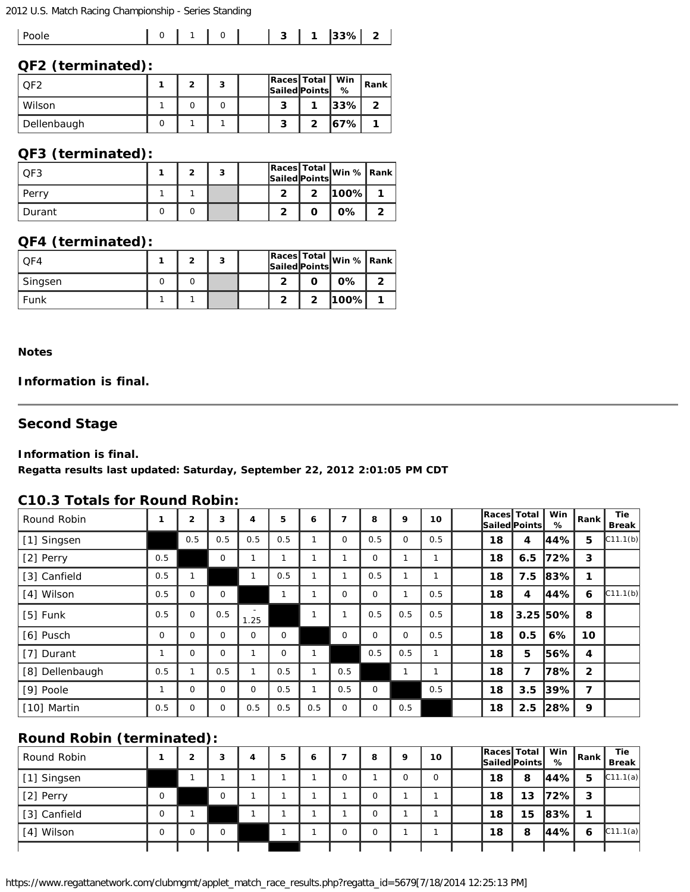#### 2012 U.S. Match Racing Championship - Series Standing

|--|

#### **QF2 (terminated):**

| OF2         | ∽ | ຳ |   | Races   Total   Win<br>Sailed Points | %        | Rank |
|-------------|---|---|---|--------------------------------------|----------|------|
| Wilson      |   |   | ີ |                                      | $ 33\% $ |      |
| Dellenbaugh |   |   | ◠ |                                      | 167% l   |      |

# **QF3 (terminated):**

| QF3    | ◠ | 3 |   |   | Races Total Win % Rank |  |
|--------|---|---|---|---|------------------------|--|
| Perry  |   |   |   | າ | 100%                   |  |
| Durant |   |   | - |   | 0%                     |  |

# **QF4 (terminated):**

| $\bigcap$ F4 | ∽ | ິ<br>c |  | Sailed Points | Races Total Win %   Rank |  |
|--------------|---|--------|--|---------------|--------------------------|--|
| Singsen      |   |        |  |               | 0%                       |  |
| Funk         |   |        |  |               | <b>100%</b>              |  |

### **Notes**

### **Information is final.**

# **Second Stage**

#### **Information is final.**

**Regatta results last updated: Saturday, September 22, 2012 2:01:05 PM CDT**

#### **C10.3 Totals for Round Robin:**

| Round Robin     |             | $\mathbf{2}$ | 3           | 4       | 5        | 6   | 7           | 8        | 9           | 10           | <b>Races</b> Total | Sailed  Points | Win<br>%   | Rank         | Tie<br>Break |
|-----------------|-------------|--------------|-------------|---------|----------|-----|-------------|----------|-------------|--------------|--------------------|----------------|------------|--------------|--------------|
| [1] Singsen     |             | 0.5          | 0.5         | 0.5     | 0.5      |     | $\mathbf 0$ | 0.5      | $\mathbf 0$ | 0.5          | 18                 | 4              | 44%        | 5            | C11.1(b)     |
| [2] Perry       | 0.5         |              | $\mathbf 0$ |         |          |     |             | $\Omega$ |             |              | 18                 | 6.5            | 72%        | 3            |              |
| [3] Canfield    | 0.5         |              |             | и       | 0.5      |     |             | 0.5      |             | $\mathbf{1}$ | 18                 | 7.5            | 83%        | 1            |              |
| [4] Wilson      | 0.5         | $\Omega$     | $\mathbf 0$ |         |          |     | O           | $\Omega$ |             | 0.5          | 18                 | 4              | 44%        | 6            | C11.1(b)     |
| $[5]$ Funk      | 0.5         | $\Omega$     | 0.5         | 1.25    |          | 1   |             | 0.5      | 0.5         | 0.5          | 18                 |                | $3.25$ 50% | 8            |              |
| [6] Pusch       | $\mathbf 0$ | $\Omega$     | $\mathbf 0$ | $\circ$ | 0        |     | $\mathbf 0$ | $\Omega$ | $\mathbf 0$ | 0.5          | 18                 | 0.5            | 6%         | 10           |              |
| [7] Durant      |             | $\Omega$     | $\mathbf 0$ |         | $\Omega$ | 1   |             | 0.5      | 0.5         | $\mathbf{1}$ | 18                 | 5              | 56%        | 4            |              |
| [8] Dellenbaugh | 0.5         |              | 0.5         |         | 0.5      |     | 0.5         |          |             | 1            | 18                 | 7              | 78%        | $\mathbf{2}$ |              |
| [9] Poole       |             | $\Omega$     | 0           | $\circ$ | 0.5      |     | 0.5         | $\Omega$ |             | 0.5          | 18                 | 3.5            | 39%        | 7            |              |
| [10] Martin     | 0.5         | $\Omega$     | 0           | 0.5     | 0.5      | 0.5 | $\Omega$    | $\Omega$ | 0.5         |              | 18                 | 2.5            | 28%        | 9            |              |

# **Round Robin (terminated):**

| <b>Round Robin (terminated):</b> |   |          |   |   |   |          |   |          |    |    |                                            |          |        |                            |
|----------------------------------|---|----------|---|---|---|----------|---|----------|----|----|--------------------------------------------|----------|--------|----------------------------|
| Round Robin                      | ◠ | 3        | 4 | 5 | ь |          | 8 | q        | 10 |    | <b>Races Total</b><br><b>Sailed Points</b> | Win<br>% | l Rank | <b>Tie</b><br><b>Break</b> |
| [1] Singsen                      |   |          |   |   |   | $\Omega$ |   | $\Omega$ |    | 18 | 8                                          | 144%I    | 5      | C11.1(a)                   |
| [2] Perry                        |   | $\Omega$ |   |   |   |          |   |          |    | 18 | 13                                         | 72%I     | 3      |                            |
| [3] Canfield                     |   |          |   |   |   |          |   |          |    | 18 | 15                                         | $ 83\% $ |        |                            |
| [4] Wilson                       |   | $\Omega$ |   |   |   | $\Omega$ |   |          |    | 18 | 8                                          | l44%l    | 6      | C11.1(a)                   |
|                                  |   |          |   |   |   |          |   |          |    |    |                                            |          |        |                            |

https://www.regattanetwork.com/clubmgmt/applet\_match\_race\_results.php?regatta\_id=5679[7/18/2014 12:25:13 PM]